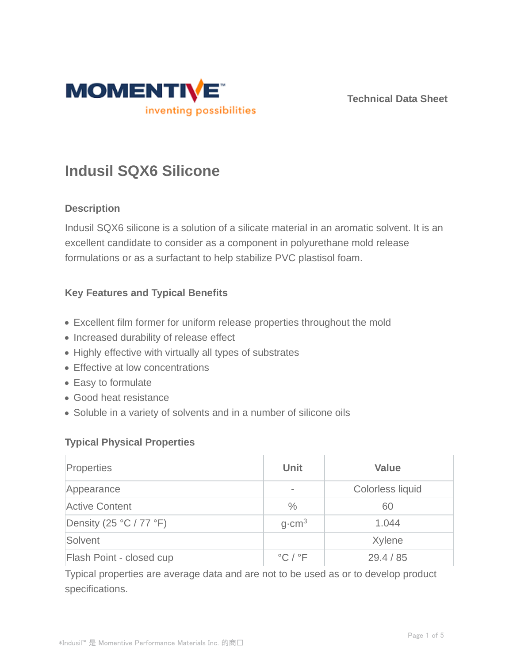

**Technical Data Sheet**

# **Indusil SQX6 Silicone**

## **Description**

Indusil SQX6 silicone is a solution of a silicate material in an aromatic solvent. It is an excellent candidate to consider as a component in polyurethane mold release formulations or as a surfactant to help stabilize PVC plastisol foam.

# **Key Features and Typical Benefits**

- Excellent film former for uniform release properties throughout the mold
- Increased durability of release effect
- Highly effective with virtually all types of substrates
- Effective at low concentrations
- Easy to formulate
- Good heat resistance
- Soluble in a variety of solvents and in a number of silicone oils

### **Typical Physical Properties**

| Properties               | <b>Unit</b>                 | <b>Value</b>            |
|--------------------------|-----------------------------|-------------------------|
| Appearance               |                             | <b>Colorless liquid</b> |
| <b>Active Content</b>    | $\frac{0}{0}$               | 60                      |
| Density (25 °C / 77 °F)  | $q$ cm <sup>3</sup>         | 1.044                   |
| Solvent                  |                             | Xylene                  |
| Flash Point - closed cup | $^{\circ}$ C / $^{\circ}$ F | 29.4 / 85               |

Typical properties are average data and are not to be used as or to develop product specifications.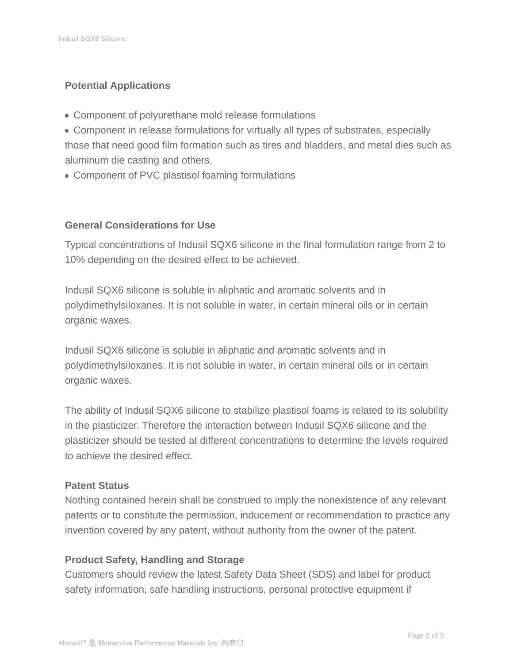# **Potential Applications**

- Component of polyurethane mold release formulations
- Component in release formulations for virtually all types of substrates, especially those that need good film formation such as tires and bladders, and metal dies such as aluminum die casting and others.
- Component of PVC plastisol foaming formulations

### **General Considerations for Use**

Typical concentrations of Indusil SQX6 silicone in the final formulation range from 2 to 10% depending on the desired effect to be achieved.

Indusil SQX6 silicone is soluble in aliphatic and aromatic solvents and in polydimethylsiloxanes. It is not soluble in water, in certain mineral oils or in certain organic waxes.

Indusil SQX6 silicone is soluble in aliphatic and aromatic solvents and in polydimethylsiloxanes. It is not soluble in water, in certain mineral oils or in certain organic waxes.

The ability of Indusil SQX6 silicone to stabilize plastisol foams is related to its solubility in the plasticizer. Therefore the interaction between Indusil SQX6 silicone and the plasticizer should be tested at different concentrations to determine the levels required to achieve the desired effect.

### **Patent Status**

Nothing contained herein shall be construed to imply the nonexistence of any relevant patents or to constitute the permission, inducement or recommendation to practice any invention covered by any patent, without authority from the owner of the patent.

### **Product Safety, Handling and Storage**

Customers should review the latest Safety Data Sheet (SDS) and label for product safety information, safe handling instructions, personal protective equipment if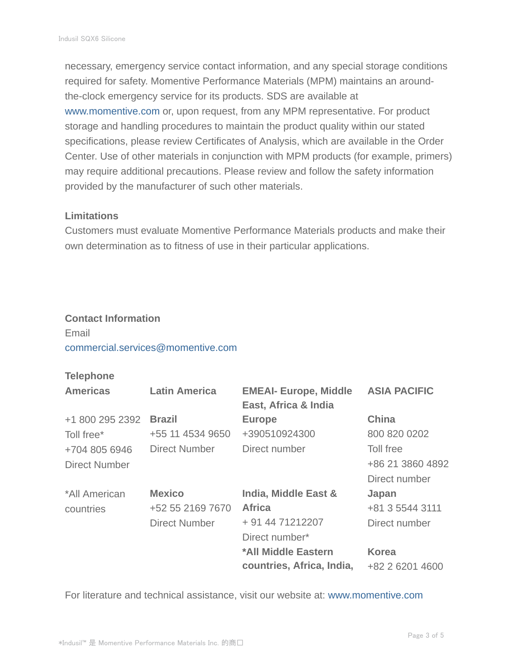necessary, emergency service contact information, and any special storage conditions required for safety. Momentive Performance Materials (MPM) maintains an aroundthe-clock emergency service for its products. SDS are available at www.momentive.com or, upon request, from any MPM representative. For product storage and handling procedures to maintain the product quality within our stated specifications, please review Certificates of Analysis, which are available in the Order Center. Use of other materials in conjunction with MPM products (for example, primers) may require additional precautions. Please review and follow the safety information provided by the manufacturer of such other materials.

#### **Limitations**

Customers must evaluate Momentive Performance Materials products and make their own determination as to fitness of use in their particular applications.

#### **Contact Information**

# Email commercial.services@momentive.com

#### **Telephone**

| <b>Americas</b>      | <b>Latin America</b> | <b>EMEAI- Europe, Middle</b><br>East, Africa & India | <b>ASIA PACIFIC</b> |
|----------------------|----------------------|------------------------------------------------------|---------------------|
| +1 800 295 2392      | <b>Brazil</b>        | <b>Europe</b>                                        | <b>China</b>        |
| Toll free*           | +55 11 4534 9650     | +390510924300                                        | 800 820 0202        |
| +704 805 6946        | <b>Direct Number</b> | Direct number                                        | Toll free           |
| <b>Direct Number</b> |                      |                                                      | +86 21 3860 4892    |
|                      |                      |                                                      | Direct number       |
| *All American        | <b>Mexico</b>        | India, Middle East &                                 | Japan               |
| countries            | +52 55 2169 7670     | <b>Africa</b>                                        | +81 3 5544 3111     |
|                      | <b>Direct Number</b> | + 91 44 71212207                                     | Direct number       |
|                      |                      | Direct number*                                       |                     |
|                      |                      | *All Middle Eastern                                  | <b>Korea</b>        |
|                      |                      | countries, Africa, India,                            | +82 2 6201 4600     |

For literature and technical assistance, visit our website at: www.momentive.com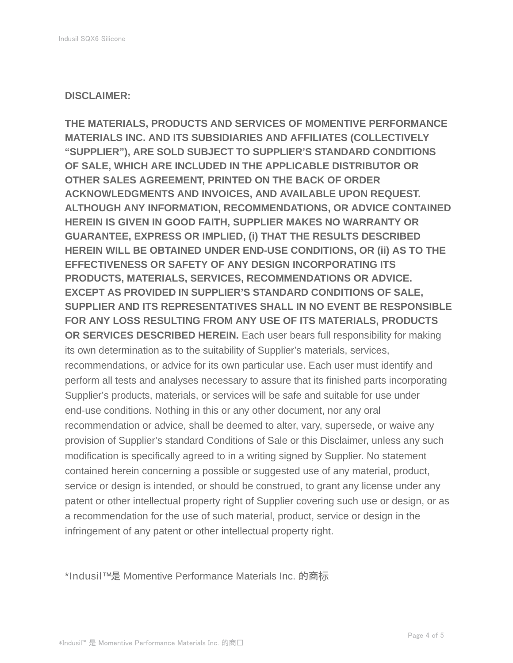#### **DISCLAIMER:**

**THE MATERIALS, PRODUCTS AND SERVICES OF MOMENTIVE PERFORMANCE MATERIALS INC. AND ITS SUBSIDIARIES AND AFFILIATES (COLLECTIVELY "SUPPLIER"), ARE SOLD SUBJECT TO SUPPLIER'S STANDARD CONDITIONS OF SALE, WHICH ARE INCLUDED IN THE APPLICABLE DISTRIBUTOR OR OTHER SALES AGREEMENT, PRINTED ON THE BACK OF ORDER ACKNOWLEDGMENTS AND INVOICES, AND AVAILABLE UPON REQUEST. ALTHOUGH ANY INFORMATION, RECOMMENDATIONS, OR ADVICE CONTAINED HEREIN IS GIVEN IN GOOD FAITH, SUPPLIER MAKES NO WARRANTY OR GUARANTEE, EXPRESS OR IMPLIED, (i) THAT THE RESULTS DESCRIBED HEREIN WILL BE OBTAINED UNDER END-USE CONDITIONS, OR (ii) AS TO THE EFFECTIVENESS OR SAFETY OF ANY DESIGN INCORPORATING ITS PRODUCTS, MATERIALS, SERVICES, RECOMMENDATIONS OR ADVICE. EXCEPT AS PROVIDED IN SUPPLIER'S STANDARD CONDITIONS OF SALE, SUPPLIER AND ITS REPRESENTATIVES SHALL IN NO EVENT BE RESPONSIBLE FOR ANY LOSS RESULTING FROM ANY USE OF ITS MATERIALS, PRODUCTS OR SERVICES DESCRIBED HEREIN.** Each user bears full responsibility for making its own determination as to the suitability of Supplier's materials, services, recommendations, or advice for its own particular use. Each user must identify and perform all tests and analyses necessary to assure that its finished parts incorporating Supplier's products, materials, or services will be safe and suitable for use under end-use conditions. Nothing in this or any other document, nor any oral recommendation or advice, shall be deemed to alter, vary, supersede, or waive any provision of Supplier's standard Conditions of Sale or this Disclaimer, unless any such modification is specifically agreed to in a writing signed by Supplier. No statement contained herein concerning a possible or suggested use of any material, product, service or design is intended, or should be construed, to grant any license under any patent or other intellectual property right of Supplier covering such use or design, or as a recommendation for the use of such material, product, service or design in the infringement of any patent or other intellectual property right.

\*Indusil™ 是 Momentive Performance Materials Inc. 的商标